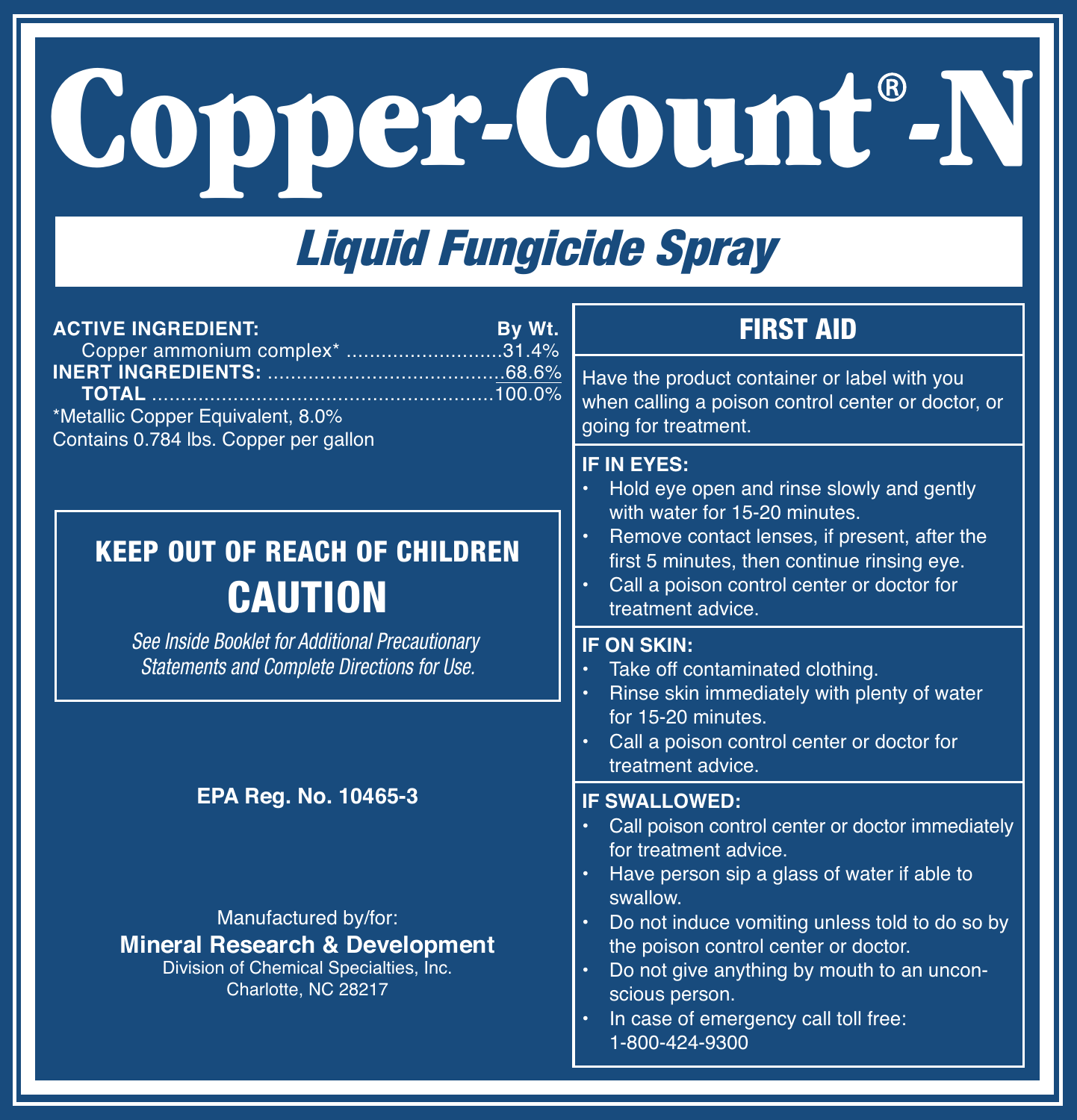# Copper-Count®-N

# **Liquid Fungicide Spray**

| By Wt.<br><b>ACTIVE INGREDIENT:</b><br>Copper ammonium complex* 31.4%                                                                                      | <b>FIRST AID</b>                                                                                                                                                                                                                                                                                                                                                                           |
|------------------------------------------------------------------------------------------------------------------------------------------------------------|--------------------------------------------------------------------------------------------------------------------------------------------------------------------------------------------------------------------------------------------------------------------------------------------------------------------------------------------------------------------------------------------|
| *Metallic Copper Equivalent, 8.0%<br>Contains 0.784 lbs. Copper per gallon                                                                                 | Have the product container or label with you<br>when calling a poison control center or doctor, or<br>going for treatment.                                                                                                                                                                                                                                                                 |
| <b>KEEP OUT OF REACH OF CHILDREN</b><br><b>CAUTION</b>                                                                                                     | <b>IF IN EYES:</b><br>Hold eye open and rinse slowly and gently<br>with water for 15-20 minutes.<br>Remove contact lenses, if present, after the<br>first 5 minutes, then continue rinsing eye.<br>Call a poison control center or doctor for<br>treatment advice.                                                                                                                         |
| See Inside Booklet for Additional Precautionary<br>Statements and Complete Directions for Use.                                                             | <b>IF ON SKIN:</b><br>Take off contaminated clothing.<br>Rinse skin immediately with plenty of water<br>$\bullet$<br>for 15-20 minutes.<br>Call a poison control center or doctor for<br>treatment advice.                                                                                                                                                                                 |
| EPA Reg. No. 10465-3<br>Manufactured by/for:<br><b>Mineral Research &amp; Development</b><br>Division of Chemical Specialties, Inc.<br>Charlotte, NC 28217 | <b>IF SWALLOWED:</b><br>Call poison control center or doctor immediately<br>for treatment advice.<br>Have person sip a glass of water if able to<br>swallow.<br>Do not induce vomiting unless told to do so by<br>٠<br>the poison control center or doctor.<br>Do not give anything by mouth to an uncon-<br>٠<br>scious person.<br>In case of emergency call toll free:<br>1-800-424-9300 |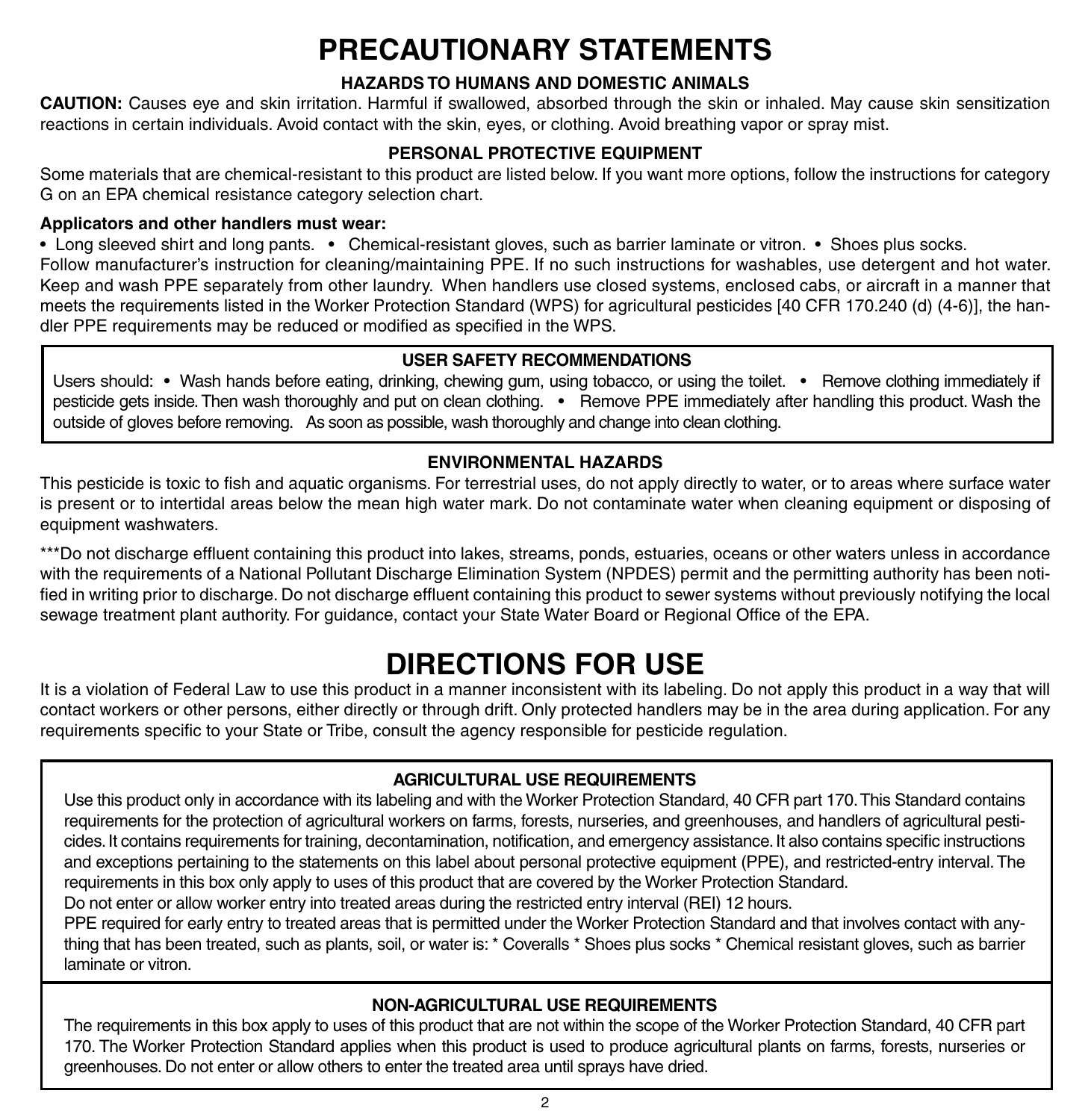# **PRECAUTIONARY STATEMENTS**

#### **HAZARDS TO HUMANS AND DOMESTIC ANIMALS**

**CAUTION:** Causes eye and skin irritation. Harmful if swallowed, absorbed through the skin or inhaled. May cause skin sensitization reactions in certain individuals. Avoid contact with the skin, eyes, or clothing. Avoid breathing vapor or spray mist.

#### **PERSONAL PROTECTIVE EQUIPMENT**

Some materials that are chemical-resistant to this product are listed below. If you want more options, follow the instructions for category G on an EPA chemical resistance category selection chart.

#### **Applicators and other handlers must wear:**

• Long sleeved shirt and long pants. • Chemical-resistant gloves, such as barrier laminate or vitron. • Shoes plus socks.

Follow manufacturer's instruction for cleaning/maintaining PPE. If no such instructions for washables, use detergent and hot water. Keep and wash PPE separately from other laundry. When handlers use closed systems, enclosed cabs, or aircraft in a manner that meets the requirements listed in the Worker Protection Standard (WPS) for agricultural pesticides [40 CFR 170.240 (d) (4-6)], the handler PPE requirements may be reduced or modified as specified in the WPS.

#### **USER SAFETY RECOMMENDATIONS**

Users should: • Wash hands before eating, drinking, chewing gum, using tobacco, or using the toilet. • Remove clothing immediately if pesticide gets inside. Then wash thoroughly and put on clean clothing. • Remove PPE immediately after handling this product. Wash the outside of gloves before removing. As soon as possible, wash thoroughly and change into clean clothing.

#### **ENVIRONMENTAL HAZARDS**

This pesticide is toxic to fish and aquatic organisms. For terrestrial uses, do not apply directly to water, or to areas where surface water is present or to intertidal areas below the mean high water mark. Do not contaminate water when cleaning equipment or disposing of equipment washwaters.

\*\*\*Do not discharge effluent containing this product into lakes, streams, ponds, estuaries, oceans or other waters unless in accordance with the requirements of a National Pollutant Discharge Elimination System (NPDES) permit and the permitting authority has been notified in writing prior to discharge. Do not discharge effluent containing this product to sewer systems without previously notifying the local sewage treatment plant authority. For guidance, contact your State Water Board or Regional Office of the EPA.

## **DIRECTIONS FOR USE**

It is a violation of Federal Law to use this product in a manner inconsistent with its labeling. Do not apply this product in a way that will contact workers or other persons, either directly or through drift. Only protected handlers may be in the area during application. For any requirements specific to your State or Tribe, consult the agency responsible for pesticide regulation.

#### **AGRICULTURAL USE REQUIREMENTS**

Use this product only in accordance with its labeling and with the Worker Protection Standard, 40 CFR part 170. This Standard contains requirements for the protection of agricultural workers on farms, forests, nurseries, and greenhouses, and handlers of agricultural pesticides. It contains requirements for training, decontamination, notification, and emergency assistance. It also contains specific instructions and exceptions pertaining to the statements on this label about personal protective equipment (PPE), and restricted-entry interval. The requirements in this box only apply to uses of this product that are covered by the Worker Protection Standard.

Do not enter or allow worker entry into treated areas during the restricted entry interval (REI) 12 hours.

PPE required for early entry to treated areas that is permitted under the Worker Protection Standard and that involves contact with anything that has been treated, such as plants, soil, or water is: \* Coveralls \* Shoes plus socks \* Chemical resistant gloves, such as barrier laminate or vitron.

#### **NON-AGRICULTURAL USE REQUIREMENTS**

The requirements in this box apply to uses of this product that are not within the scope of the Worker Protection Standard, 40 CFR part 170. The Worker Protection Standard applies when this product is used to produce agricultural plants on farms, forests, nurseries or greenhouses. Do not enter or allow others to enter the treated area until sprays have dried.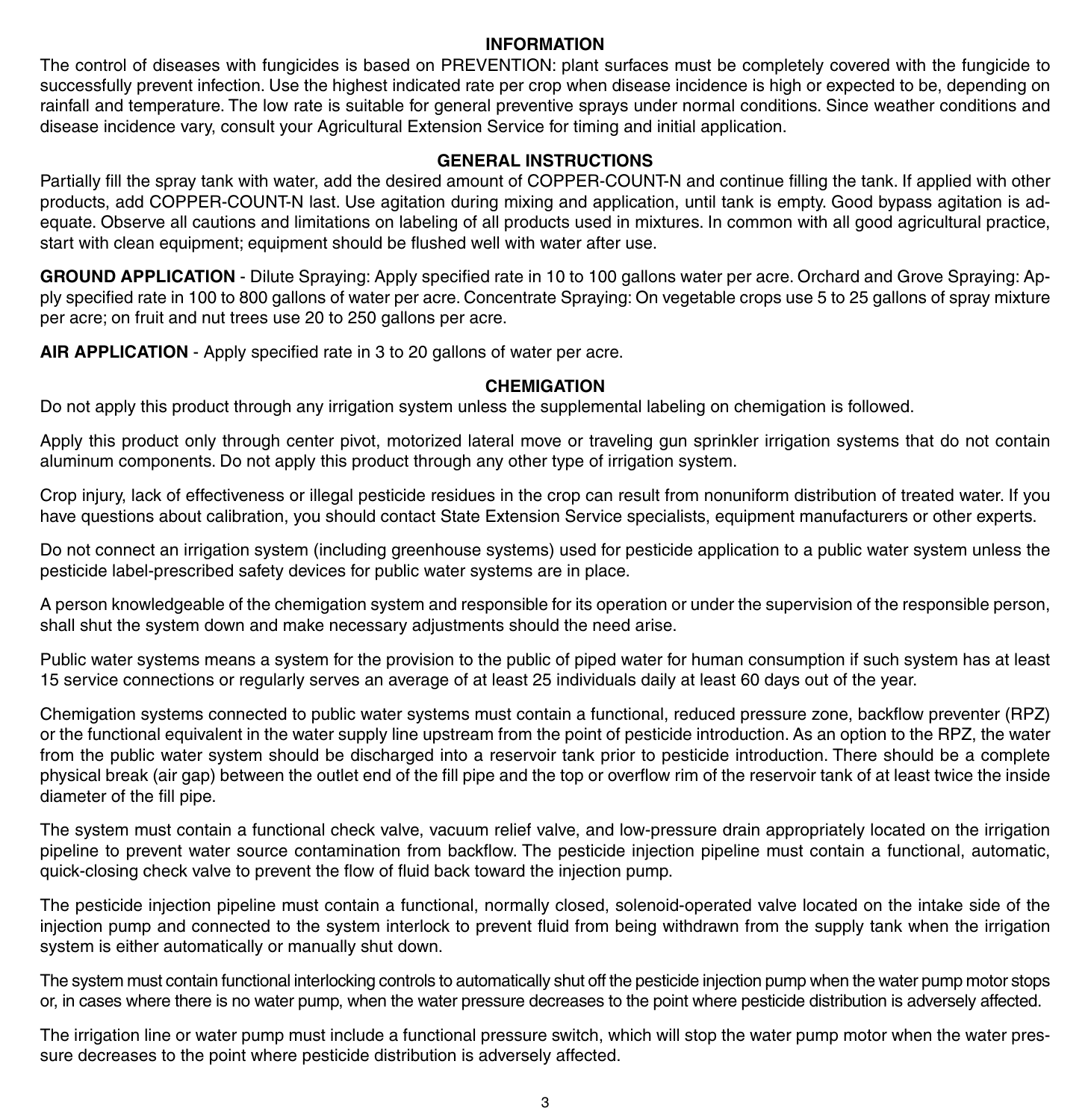#### **INFORMATION**

The control of diseases with fungicides is based on PREVENTION: plant surfaces must be completely covered with the fungicide to successfully prevent infection. Use the highest indicated rate per crop when disease incidence is high or expected to be, depending on rainfall and temperature. The low rate is suitable for general preventive sprays under normal conditions. Since weather conditions and disease incidence vary, consult your Agricultural Extension Service for timing and initial application.

#### **GENERAL INSTRUCTIONS**

Partially fill the spray tank with water, add the desired amount of COPPER-COUNT-N and continue filling the tank. If applied with other products, add COPPER-COUNT-N last. Use agitation during mixing and application, until tank is empty. Good bypass agitation is adequate. Observe all cautions and limitations on labeling of all products used in mixtures. In common with all good agricultural practice, start with clean equipment; equipment should be flushed well with water after use.

**GROUND APPLICATION** - Dilute Spraying: Apply specified rate in 10 to 100 gallons water per acre. Orchard and Grove Spraying: Apply specified rate in 100 to 800 gallons of water per acre. Concentrate Spraying: On vegetable crops use 5 to 25 gallons of spray mixture per acre; on fruit and nut trees use 20 to 250 gallons per acre.

**AIR APPLICATION** - Apply specified rate in 3 to 20 gallons of water per acre.

#### **CHEMIGATION**

Do not apply this product through any irrigation system unless the supplemental labeling on chemigation is followed.

Apply this product only through center pivot, motorized lateral move or traveling gun sprinkler irrigation systems that do not contain aluminum components. Do not apply this product through any other type of irrigation system.

Crop injury, lack of effectiveness or illegal pesticide residues in the crop can result from nonuniform distribution of treated water. If you have questions about calibration, you should contact State Extension Service specialists, equipment manufacturers or other experts.

Do not connect an irrigation system (including greenhouse systems) used for pesticide application to a public water system unless the pesticide label-prescribed safety devices for public water systems are in place.

A person knowledgeable of the chemigation system and responsible for its operation or under the supervision of the responsible person, shall shut the system down and make necessary adjustments should the need arise.

Public water systems means a system for the provision to the public of piped water for human consumption if such system has at least 15 service connections or regularly serves an average of at least 25 individuals daily at least 60 days out of the year.

Chemigation systems connected to public water systems must contain a functional, reduced pressure zone, backflow preventer (RPZ) or the functional equivalent in the water supply line upstream from the point of pesticide introduction. As an option to the RPZ, the water from the public water system should be discharged into a reservoir tank prior to pesticide introduction. There should be a complete physical break (air gap) between the outlet end of the fill pipe and the top or overflow rim of the reservoir tank of at least twice the inside diameter of the fill pipe.

The system must contain a functional check valve, vacuum relief valve, and low-pressure drain appropriately located on the irrigation pipeline to prevent water source contamination from backflow. The pesticide injection pipeline must contain a functional, automatic, quick-closing check valve to prevent the flow of fluid back toward the injection pump.

The pesticide injection pipeline must contain a functional, normally closed, solenoid-operated valve located on the intake side of the injection pump and connected to the system interlock to prevent fluid from being withdrawn from the supply tank when the irrigation system is either automatically or manually shut down.

The system must contain functional interlocking controls to automatically shut off the pesticide injection pump when the water pump motor stops or, in cases where there is no water pump, when the water pressure decreases to the point where pesticide distribution is adversely affected.

The irrigation line or water pump must include a functional pressure switch, which will stop the water pump motor when the water pressure decreases to the point where pesticide distribution is adversely affected.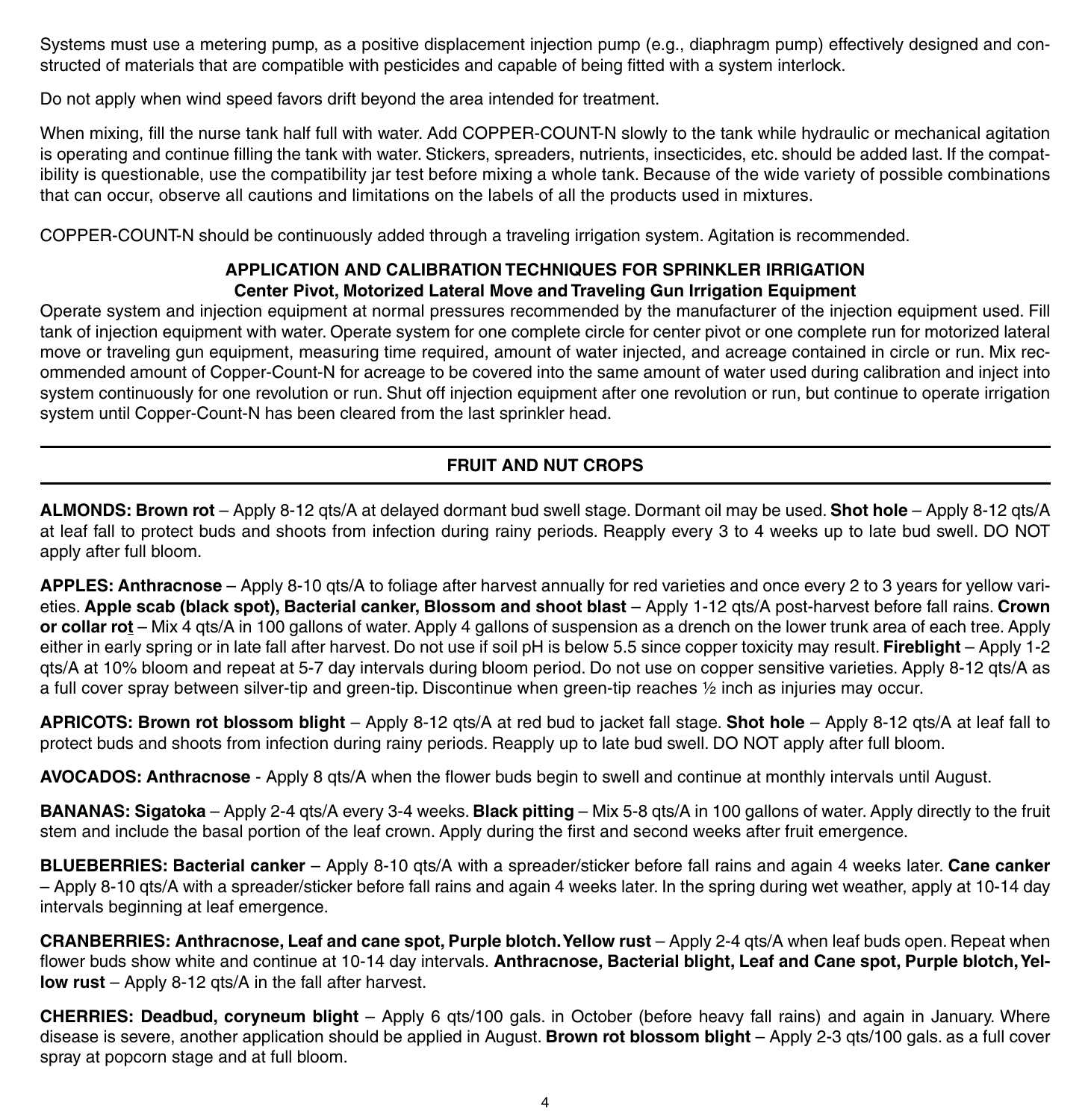Systems must use a metering pump, as a positive displacement injection pump (e.g., diaphragm pump) effectively designed and constructed of materials that are compatible with pesticides and capable of being fitted with a system interlock.

Do not apply when wind speed favors drift beyond the area intended for treatment.

When mixing, fill the nurse tank half full with water. Add COPPER-COUNT-N slowly to the tank while hydraulic or mechanical agitation is operating and continue filling the tank with water. Stickers, spreaders, nutrients, insecticides, etc. should be added last. If the compatibility is questionable, use the compatibility jar test before mixing a whole tank. Because of the wide variety of possible combinations that can occur, observe all cautions and limitations on the labels of all the products used in mixtures.

COPPER-COUNT-N should be continuously added through a traveling irrigation system. Agitation is recommended.

#### **APPLICATION AND CALIBRATION TECHNIQUES FOR SPRINKLER IRRIGATION Center Pivot, Motorized Lateral Move and Traveling Gun Irrigation Equipment**

Operate system and injection equipment at normal pressures recommended by the manufacturer of the injection equipment used. Fill tank of injection equipment with water. Operate system for one complete circle for center pivot or one complete run for motorized lateral move or traveling gun equipment, measuring time required, amount of water injected, and acreage contained in circle or run. Mix recommended amount of Copper-Count-N for acreage to be covered into the same amount of water used during calibration and inject into system continuously for one revolution or run. Shut off injection equipment after one revolution or run, but continue to operate irrigation system until Copper-Count-N has been cleared from the last sprinkler head.

#### **FRUIT AND NUT CROPS**

**ALMONDS: Brown rot** – Apply 8-12 qts/A at delayed dormant bud swell stage. Dormant oil may be used. **Shot hole** – Apply 8-12 qts/A at leaf fall to protect buds and shoots from infection during rainy periods. Reapply every 3 to 4 weeks up to late bud swell. DO NOT apply after full bloom.

**APPLES: Anthracnose** – Apply 8-10 qts/A to foliage after harvest annually for red varieties and once every 2 to 3 years for yellow varieties. **Apple scab (black spot), Bacterial canker, Blossom and shoot blast** – Apply 1-12 qts/A post-harvest before fall rains. **Crown or collar rot** – Mix 4 qts/A in 100 gallons of water. Apply 4 gallons of suspension as a drench on the lower trunk area of each tree. Apply either in early spring or in late fall after harvest. Do not use if soil pH is below 5.5 since copper toxicity may result. **Fireblight** – Apply 1-2 qts/A at 10% bloom and repeat at 5-7 day intervals during bloom period. Do not use on copper sensitive varieties. Apply 8-12 qts/A as a full cover spray between silver-tip and green-tip. Discontinue when green-tip reaches ½ inch as injuries may occur.

**APRICOTS: Brown rot blossom blight** – Apply 8-12 qts/A at red bud to jacket fall stage. **Shot hole** – Apply 8-12 qts/A at leaf fall to protect buds and shoots from infection during rainy periods. Reapply up to late bud swell. DO NOT apply after full bloom.

**AVOCADOS: Anthracnose** - Apply 8 qts/A when the flower buds begin to swell and continue at monthly intervals until August.

**BANANAS: Sigatoka** – Apply 2-4 qts/A every 3-4 weeks. **Black pitting** – Mix 5-8 qts/A in 100 gallons of water. Apply directly to the fruit stem and include the basal portion of the leaf crown. Apply during the first and second weeks after fruit emergence.

**BLUEBERRIES: Bacterial canker** – Apply 8-10 qts/A with a spreader/sticker before fall rains and again 4 weeks later. **Cane canker**  – Apply 8-10 qts/A with a spreader/sticker before fall rains and again 4 weeks later. In the spring during wet weather, apply at 10-14 day intervals beginning at leaf emergence.

**CRANBERRIES: Anthracnose, Leaf and cane spot, Purple blotch. Yellow rust** – Apply 2-4 qts/A when leaf buds open. Repeat when flower buds show white and continue at 10-14 day intervals. **Anthracnose, Bacterial blight, Leaf and Cane spot, Purple blotch, Yellow rust** – Apply 8-12 qts/A in the fall after harvest.

**CHERRIES: Deadbud, coryneum blight** – Apply 6 qts/100 gals. in October (before heavy fall rains) and again in January. Where disease is severe, another application should be applied in August. **Brown rot blossom blight** – Apply 2-3 qts/100 gals. as a full cover spray at popcorn stage and at full bloom.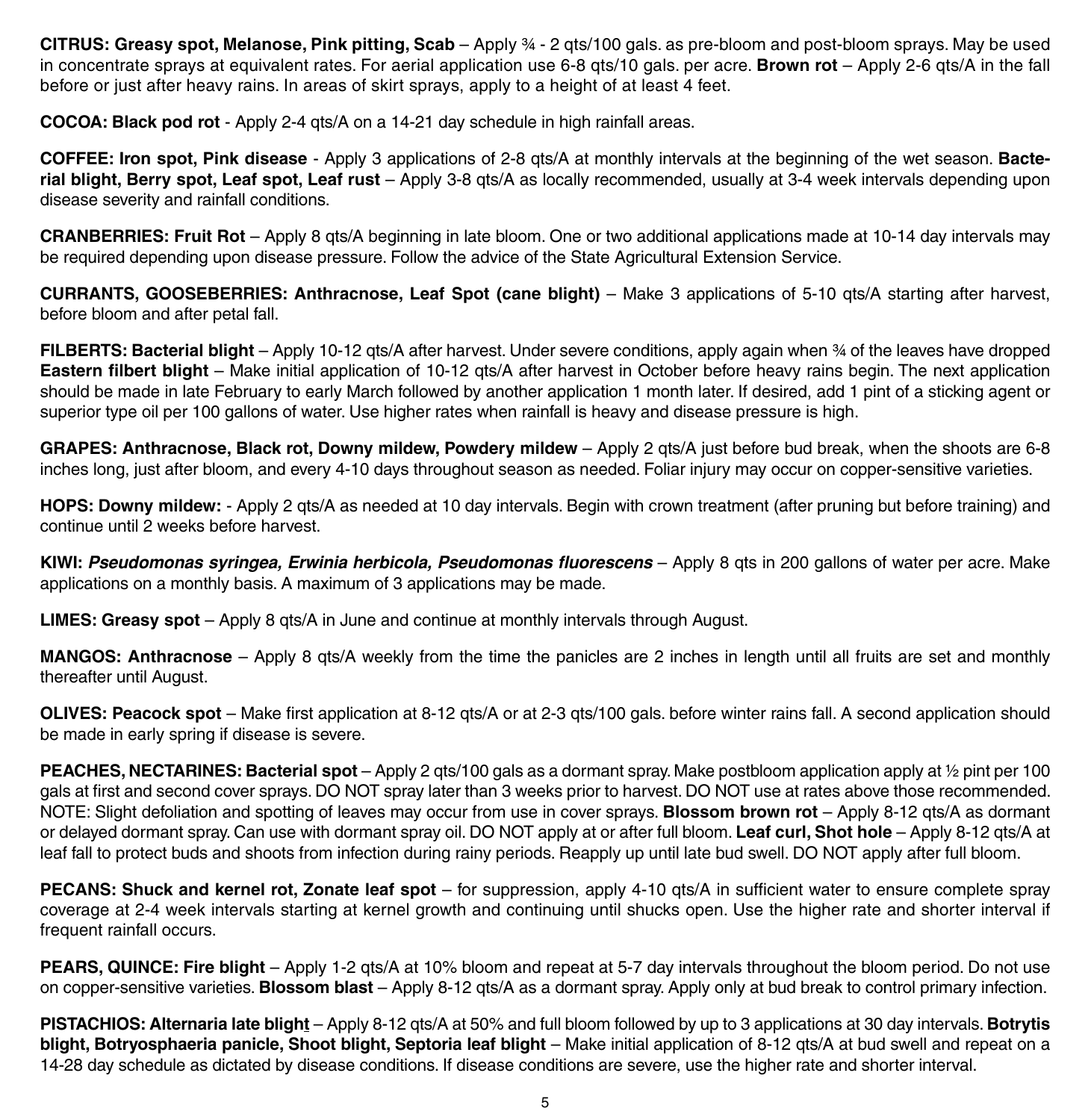**CITRUS: Greasy spot, Melanose, Pink pitting, Scab** – Apply ¾ - 2 qts/100 gals. as pre-bloom and post-bloom sprays. May be used in concentrate sprays at equivalent rates. For aerial application use 6-8 qts/10 gals. per acre. **Brown rot** – Apply 2-6 qts/A in the fall before or just after heavy rains. In areas of skirt sprays, apply to a height of at least 4 feet.

**COCOA: Black pod rot** - Apply 2-4 qts/A on a 14-21 day schedule in high rainfall areas.

**COFFEE: Iron spot, Pink disease** - Apply 3 applications of 2-8 qts/A at monthly intervals at the beginning of the wet season. **Bacterial blight, Berry spot, Leaf spot, Leaf rust** – Apply 3-8 qts/A as locally recommended, usually at 3-4 week intervals depending upon disease severity and rainfall conditions.

**CRANBERRIES: Fruit Rot** – Apply 8 qts/A beginning in late bloom. One or two additional applications made at 10-14 day intervals may be required depending upon disease pressure. Follow the advice of the State Agricultural Extension Service.

**CURRANTS, GOOSEBERRIES: Anthracnose, Leaf Spot (cane blight)** – Make 3 applications of 5-10 qts/A starting after harvest, before bloom and after petal fall.

**FILBERTS: Bacterial blight** – Apply 10-12 qts/A after harvest. Under severe conditions, apply again when ¾ of the leaves have dropped **Eastern filbert blight** – Make initial application of 10-12 qts/A after harvest in October before heavy rains begin. The next application should be made in late February to early March followed by another application 1 month later. If desired, add 1 pint of a sticking agent or superior type oil per 100 gallons of water. Use higher rates when rainfall is heavy and disease pressure is high.

**GRAPES: Anthracnose, Black rot, Downy mildew, Powdery mildew** – Apply 2 qts/A just before bud break, when the shoots are 6-8 inches long, just after bloom, and every 4-10 days throughout season as needed. Foliar injury may occur on copper-sensitive varieties.

**HOPS: Downy mildew:** - Apply 2 qts/A as needed at 10 day intervals. Begin with crown treatment (after pruning but before training) and continue until 2 weeks before harvest.

**KIWI:** *Pseudomonas syringea, Erwinia herbicola, Pseudomonas fluorescens* – Apply 8 qts in 200 gallons of water per acre. Make applications on a monthly basis. A maximum of 3 applications may be made.

**LIMES: Greasy spot** – Apply 8 qts/A in June and continue at monthly intervals through August.

**MANGOS: Anthracnose** – Apply 8 qts/A weekly from the time the panicles are 2 inches in length until all fruits are set and monthly thereafter until August.

**OLIVES: Peacock spot** – Make first application at 8-12 qts/A or at 2-3 qts/100 gals. before winter rains fall. A second application should be made in early spring if disease is severe.

**PEACHES, NECTARINES: Bacterial spot** – Apply 2 qts/100 gals as a dormant spray. Make postbloom application apply at ½ pint per 100 gals at first and second cover sprays. DO NOT spray later than 3 weeks prior to harvest. DO NOT use at rates above those recommended. NOTE: Slight defoliation and spotting of leaves may occur from use in cover sprays. **Blossom brown rot** – Apply 8-12 qts/A as dormant or delayed dormant spray. Can use with dormant spray oil. DO NOT apply at or after full bloom. **Leaf curl, Shot hole** – Apply 8-12 qts/A at leaf fall to protect buds and shoots from infection during rainy periods. Reapply up until late bud swell. DO NOT apply after full bloom.

**PECANS: Shuck and kernel rot, Zonate leaf spot** – for suppression, apply 4-10 qts/A in sufficient water to ensure complete spray coverage at 2-4 week intervals starting at kernel growth and continuing until shucks open. Use the higher rate and shorter interval if frequent rainfall occurs.

**PEARS, QUINCE: Fire blight** – Apply 1-2 qts/A at 10% bloom and repeat at 5-7 day intervals throughout the bloom period. Do not use on copper-sensitive varieties. **Blossom blast** – Apply 8-12 qts/A as a dormant spray. Apply only at bud break to control primary infection.

**PISTACHIOS: Alternaria late blight** – Apply 8-12 qts/A at 50% and full bloom followed by up to 3 applications at 30 day intervals. **Botrytis blight, Botryosphaeria panicle, Shoot blight, Septoria leaf blight** – Make initial application of 8-12 qts/A at bud swell and repeat on a 14-28 day schedule as dictated by disease conditions. If disease conditions are severe, use the higher rate and shorter interval.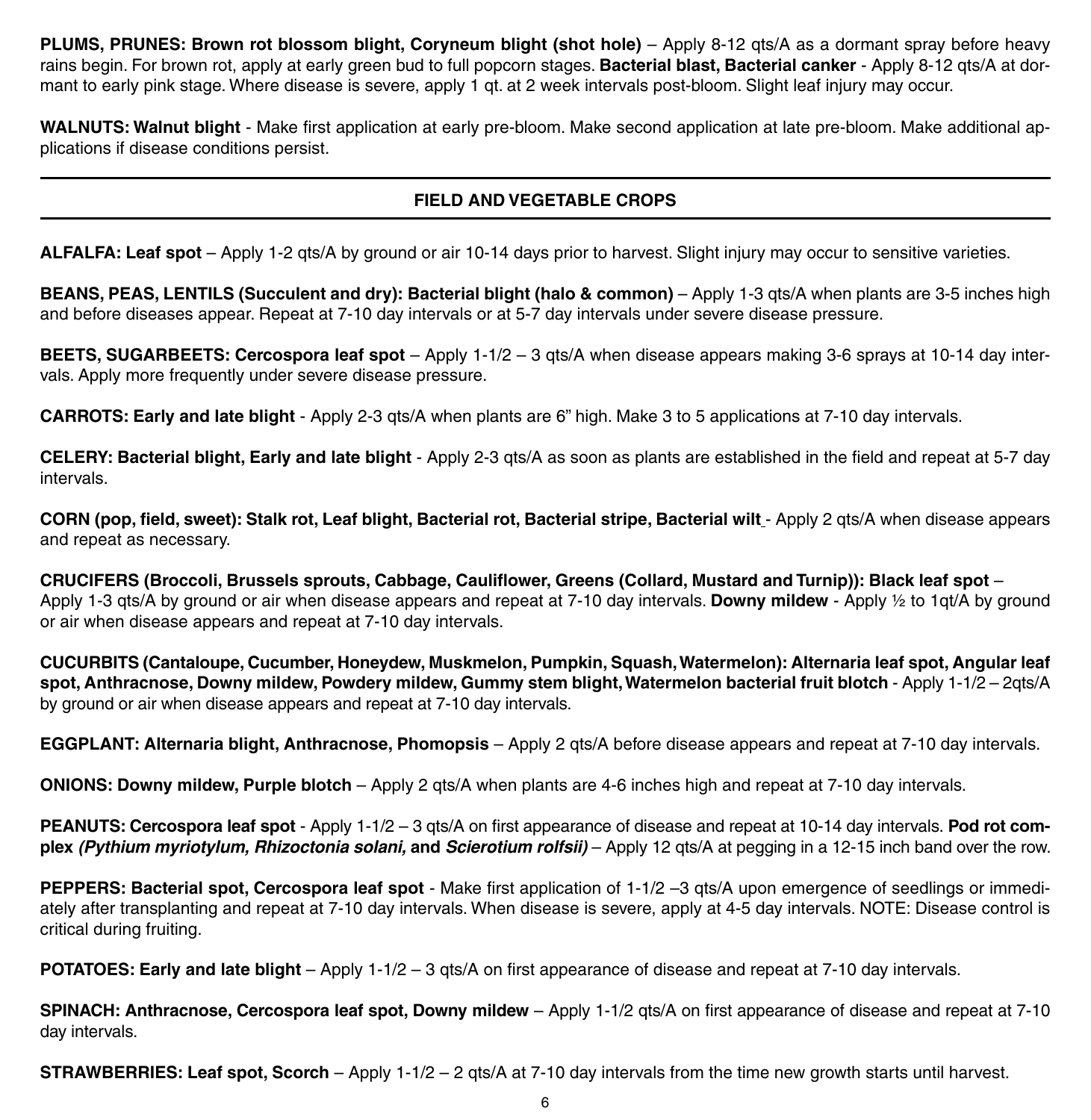**PLUMS, PRUNES: Brown rot blossom blight, Coryneum blight (shot hole)** – Apply 8-12 qts/A as a dormant spray before heavy rains begin. For brown rot, apply at early green bud to full popcorn stages. **Bacterial blast, Bacterial canker** - Apply 8-12 qts/A at dormant to early pink stage. Where disease is severe, apply 1 qt. at 2 week intervals post-bloom. Slight leaf injury may occur.

**WALNUTS: Walnut blight** - Make first application at early pre-bloom. Make second application at late pre-bloom. Make additional applications if disease conditions persist.

#### **FIELD AND VEGETABLE CROPS**

**ALFALFA: Leaf spot** – Apply 1-2 qts/A by ground or air 10-14 days prior to harvest. Slight injury may occur to sensitive varieties.

**BEANS, PEAS, LENTILS (Succulent and dry): Bacterial blight (halo & common)** – Apply 1-3 gts/A when plants are 3-5 inches high and before diseases appear. Repeat at 7-10 day intervals or at 5-7 day intervals under severe disease pressure.

**BEETS, SUGARBEETS: Cercospora leaf spot** – Apply 1-1/2 – 3 qts/A when disease appears making 3-6 sprays at 10-14 day intervals. Apply more frequently under severe disease pressure.

**CARROTS: Early and late blight** - Apply 2-3 qts/A when plants are 6" high. Make 3 to 5 applications at 7-10 day intervals.

**CELERY: Bacterial blight, Early and late blight** - Apply 2-3 qts/A as soon as plants are established in the field and repeat at 5-7 day intervals.

**CORN (pop, field, sweet): Stalk rot, Leaf blight, Bacterial rot, Bacterial stripe, Bacterial wilt** - Apply 2 qts/A when disease appears and repeat as necessary.

**CRUCIFERS (Broccoli, Brussels sprouts, Cabbage, Cauliflower, Greens (Collard, Mustard and Turnip)): Black leaf spot** – Apply 1-3 qts/A by ground or air when disease appears and repeat at 7-10 day intervals. **Downy mildew** - Apply ½ to 1qt/A by ground or air when disease appears and repeat at 7-10 day intervals.

**CUCURBITS (Cantaloupe, Cucumber, Honeydew, Muskmelon, Pumpkin, Squash, Watermelon): Alternaria leaf spot, Angular leaf spot, Anthracnose, Downy mildew, Powdery mildew, Gummy stem blight, Watermelon bacterial fruit blotch** - Apply 1-1/2 – 2qts/A by ground or air when disease appears and repeat at 7-10 day intervals.

**EGGPLANT: Alternaria blight, Anthracnose, Phomopsis** – Apply 2 qts/A before disease appears and repeat at 7-10 day intervals.

**ONIONS: Downy mildew, Purple blotch** – Apply 2 qts/A when plants are 4-6 inches high and repeat at 7-10 day intervals.

**PEANUTS: Cercospora leaf spot** - Apply 1-1/2 – 3 qts/A on first appearance of disease and repeat at 10-14 day intervals. **Pod rot complex** *(Pythium myriotylum, Rhizoctonia solani,* **and** *Scierotium rolfsii)* – Apply 12 qts/A at pegging in a 12-15 inch band over the row.

**PEPPERS: Bacterial spot, Cercospora leaf spot** - Make first application of 1-1/2 –3 qts/A upon emergence of seedlings or immediately after transplanting and repeat at 7-10 day intervals. When disease is severe, apply at 4-5 day intervals. NOTE: Disease control is critical during fruiting.

**POTATOES: Early and late blight** – Apply 1-1/2 – 3 gts/A on first appearance of disease and repeat at 7-10 day intervals.

**SPINACH: Anthracnose, Cercospora leaf spot, Downy mildew** – Apply 1-1/2 qts/A on first appearance of disease and repeat at 7-10 day intervals.

**STRAWBERRIES: Leaf spot, Scorch** – Apply 1-1/2 – 2 qts/A at 7-10 day intervals from the time new growth starts until harvest.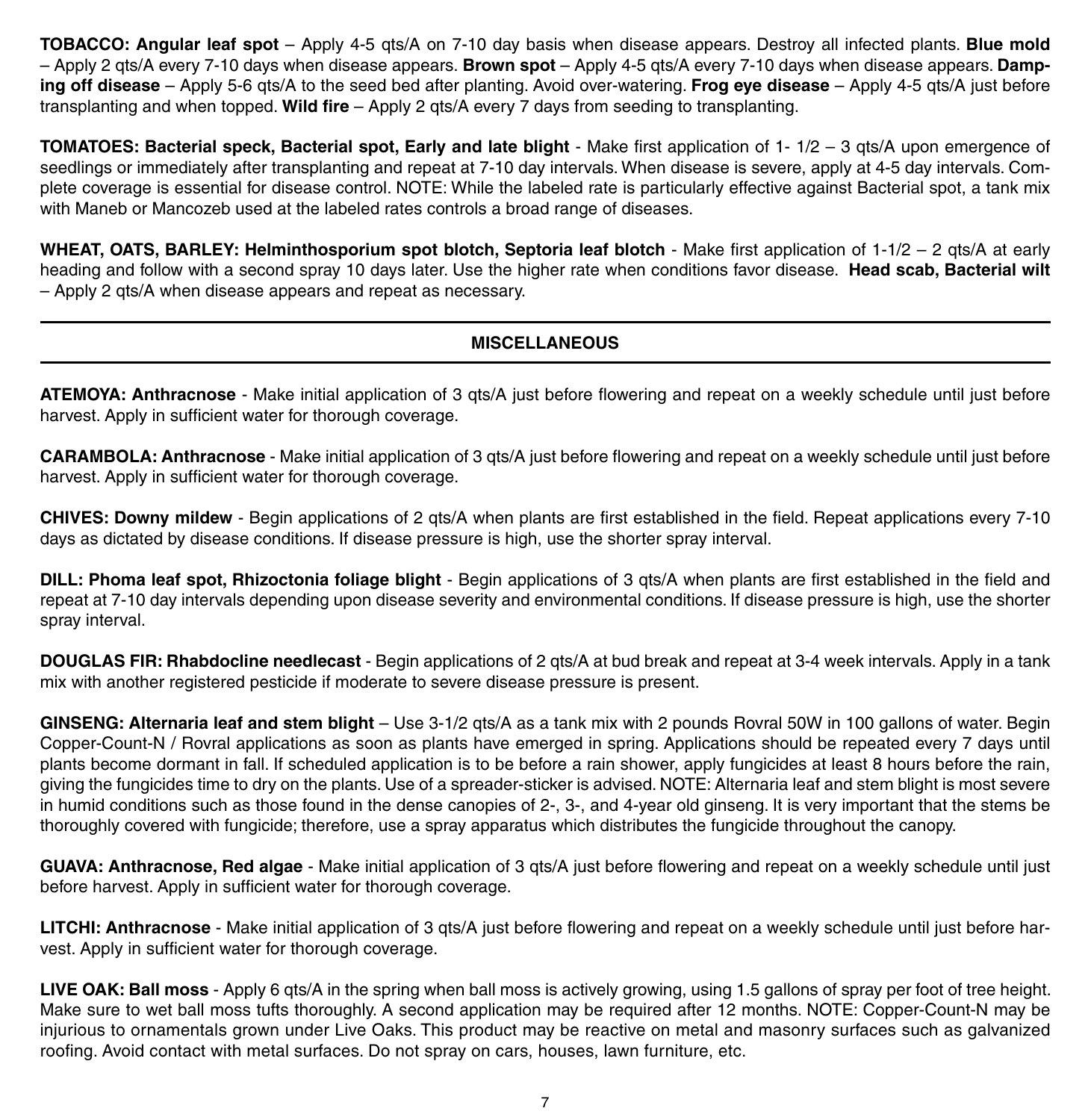**TOBACCO: Angular leaf spot** – Apply 4-5 qts/A on 7-10 day basis when disease appears. Destroy all infected plants. **Blue mold**  – Apply 2 qts/A every 7-10 days when disease appears. **Brown spot** – Apply 4-5 qts/A every 7-10 days when disease appears. **Damping off disease** – Apply 5-6 qts/A to the seed bed after planting. Avoid over-watering. **Frog eye disease** – Apply 4-5 qts/A just before transplanting and when topped. **Wild fire** – Apply 2 qts/A every 7 days from seeding to transplanting.

**TOMATOES: Bacterial speck, Bacterial spot, Early and late blight** - Make first application of 1- 1/2 – 3 qts/A upon emergence of seedlings or immediately after transplanting and repeat at 7-10 day intervals. When disease is severe, apply at 4-5 day intervals. Complete coverage is essential for disease control. NOTE: While the labeled rate is particularly effective against Bacterial spot, a tank mix with Maneb or Mancozeb used at the labeled rates controls a broad range of diseases.

**WHEAT, OATS, BARLEY: Helminthosporium spot blotch, Septoria leaf blotch** - Make first application of 1-1/2 – 2 qts/A at early heading and follow with a second spray 10 days later. Use the higher rate when conditions favor disease. **Head scab, Bacterial wilt**  – Apply 2 qts/A when disease appears and repeat as necessary.

#### **MISCELLANEOUS**

**ATEMOYA: Anthracnose** - Make initial application of 3 qts/A just before flowering and repeat on a weekly schedule until just before harvest. Apply in sufficient water for thorough coverage.

**CARAMBOLA: Anthracnose** - Make initial application of 3 qts/A just before flowering and repeat on a weekly schedule until just before harvest. Apply in sufficient water for thorough coverage.

**CHIVES: Downy mildew** - Begin applications of 2 qts/A when plants are first established in the field. Repeat applications every 7-10 days as dictated by disease conditions. If disease pressure is high, use the shorter spray interval.

**DILL: Phoma leaf spot, Rhizoctonia foliage blight** - Begin applications of 3 qts/A when plants are first established in the field and repeat at 7-10 day intervals depending upon disease severity and environmental conditions. If disease pressure is high, use the shorter spray interval.

**DOUGLAS FIR: Rhabdocline needlecast** - Begin applications of 2 qts/A at bud break and repeat at 3-4 week intervals. Apply in a tank mix with another registered pesticide if moderate to severe disease pressure is present.

**GINSENG: Alternaria leaf and stem blight** – Use 3-1/2 qts/A as a tank mix with 2 pounds Rovral 50W in 100 gallons of water. Begin Copper-Count-N / Rovral applications as soon as plants have emerged in spring. Applications should be repeated every 7 days until plants become dormant in fall. If scheduled application is to be before a rain shower, apply fungicides at least 8 hours before the rain, giving the fungicides time to dry on the plants. Use of a spreader-sticker is advised. NOTE: Alternaria leaf and stem blight is most severe in humid conditions such as those found in the dense canopies of 2-, 3-, and 4-year old ginseng. It is very important that the stems be thoroughly covered with fungicide; therefore, use a spray apparatus which distributes the fungicide throughout the canopy.

**GUAVA: Anthracnose, Red algae** - Make initial application of 3 qts/A just before flowering and repeat on a weekly schedule until just before harvest. Apply in sufficient water for thorough coverage.

**LITCHI: Anthracnose** - Make initial application of 3 qts/A just before flowering and repeat on a weekly schedule until just before harvest. Apply in sufficient water for thorough coverage.

**LIVE OAK: Ball moss** - Apply 6 qts/A in the spring when ball moss is actively growing, using 1.5 gallons of spray per foot of tree height. Make sure to wet ball moss tufts thoroughly. A second application may be required after 12 months. NOTE: Copper-Count-N may be injurious to ornamentals grown under Live Oaks. This product may be reactive on metal and masonry surfaces such as galvanized roofing. Avoid contact with metal surfaces. Do not spray on cars, houses, lawn furniture, etc.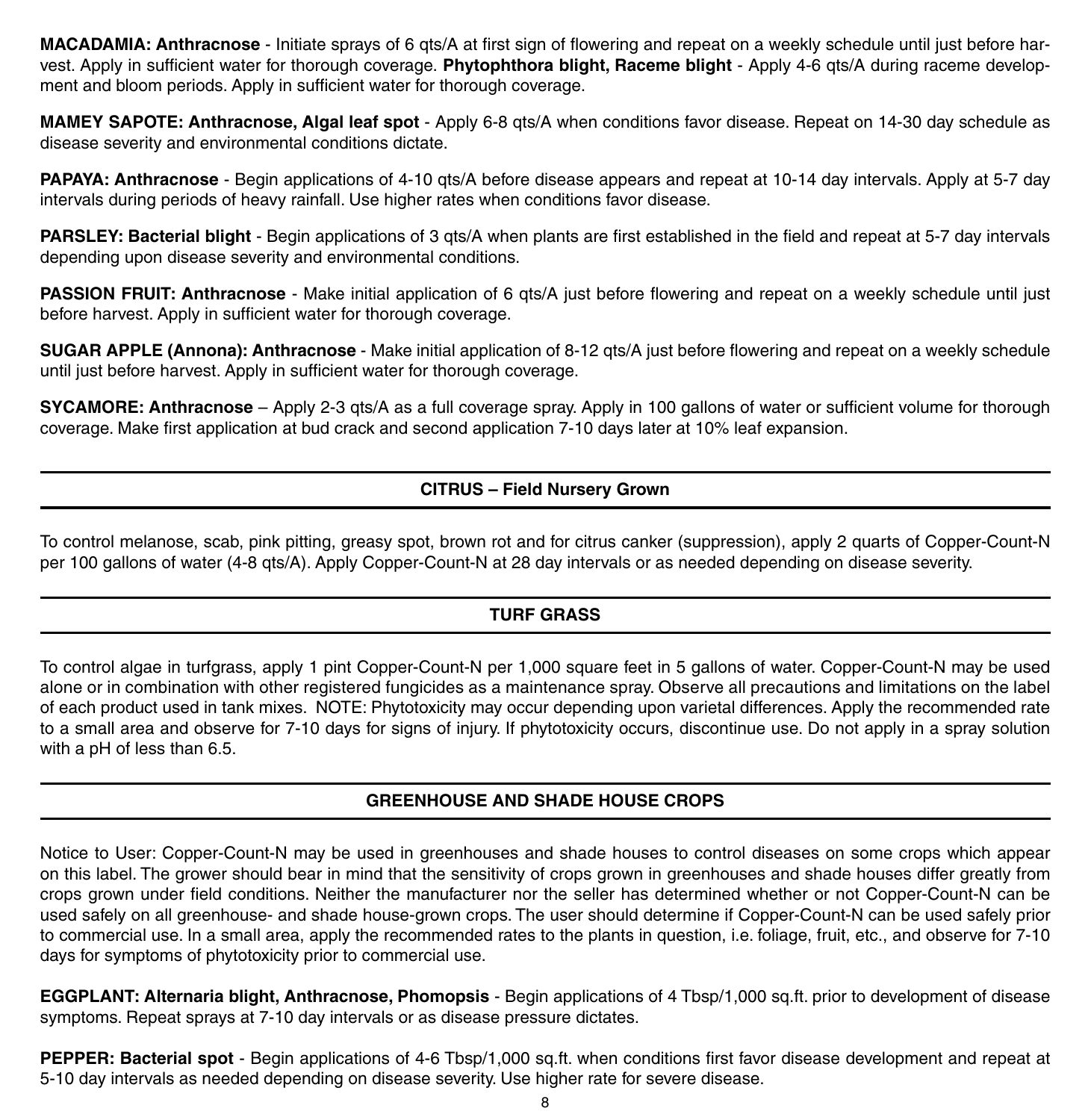**MACADAMIA: Anthracnose** - Initiate sprays of 6 qts/A at first sign of flowering and repeat on a weekly schedule until just before harvest. Apply in sufficient water for thorough coverage. **Phytophthora blight, Raceme blight** - Apply 4-6 qts/A during raceme development and bloom periods. Apply in sufficient water for thorough coverage.

**MAMEY SAPOTE: Anthracnose, Algal leaf spot** - Apply 6-8 qts/A when conditions favor disease. Repeat on 14-30 day schedule as disease severity and environmental conditions dictate.

**PAPAYA: Anthracnose** - Begin applications of 4-10 qts/A before disease appears and repeat at 10-14 day intervals. Apply at 5-7 day intervals during periods of heavy rainfall. Use higher rates when conditions favor disease.

**PARSLEY: Bacterial blight** - Begin applications of 3 qts/A when plants are first established in the field and repeat at 5-7 day intervals depending upon disease severity and environmental conditions.

**PASSION FRUIT: Anthracnose** - Make initial application of 6 qts/A just before flowering and repeat on a weekly schedule until just before harvest. Apply in sufficient water for thorough coverage.

**SUGAR APPLE (Annona): Anthracnose** - Make initial application of 8-12 qts/A just before flowering and repeat on a weekly schedule until just before harvest. Apply in sufficient water for thorough coverage.

**SYCAMORE: Anthracnose** – Apply 2-3 qts/A as a full coverage spray. Apply in 100 gallons of water or sufficient volume for thorough coverage. Make first application at bud crack and second application 7-10 days later at 10% leaf expansion.

#### **CITRUS – Field Nursery Grown**

To control melanose, scab, pink pitting, greasy spot, brown rot and for citrus canker (suppression), apply 2 quarts of Copper-Count-N per 100 gallons of water (4-8 qts/A). Apply Copper-Count-N at 28 day intervals or as needed depending on disease severity.

#### **TURF GRASS**

To control algae in turfgrass, apply 1 pint Copper-Count-N per 1,000 square feet in 5 gallons of water. Copper-Count-N may be used alone or in combination with other registered fungicides as a maintenance spray. Observe all precautions and limitations on the label of each product used in tank mixes. NOTE: Phytotoxicity may occur depending upon varietal differences. Apply the recommended rate to a small area and observe for 7-10 days for signs of injury. If phytotoxicity occurs, discontinue use. Do not apply in a spray solution with a pH of less than 6.5.

#### **GREENHOUSE AND SHADE HOUSE CROPS**

Notice to User: Copper-Count-N may be used in greenhouses and shade houses to control diseases on some crops which appear on this label. The grower should bear in mind that the sensitivity of crops grown in greenhouses and shade houses differ greatly from crops grown under field conditions. Neither the manufacturer nor the seller has determined whether or not Copper-Count-N can be used safely on all greenhouse- and shade house-grown crops. The user should determine if Copper-Count-N can be used safely prior to commercial use. In a small area, apply the recommended rates to the plants in question, i.e. foliage, fruit, etc., and observe for 7-10 days for symptoms of phytotoxicity prior to commercial use.

**EGGPLANT: Alternaria blight, Anthracnose, Phomopsis** - Begin applications of 4 Tbsp/1,000 sq.ft. prior to development of disease symptoms. Repeat sprays at 7-10 day intervals or as disease pressure dictates.

**PEPPER: Bacterial spot** - Begin applications of 4-6 Tbsp/1,000 sq.ft. when conditions first favor disease development and repeat at 5-10 day intervals as needed depending on disease severity. Use higher rate for severe disease.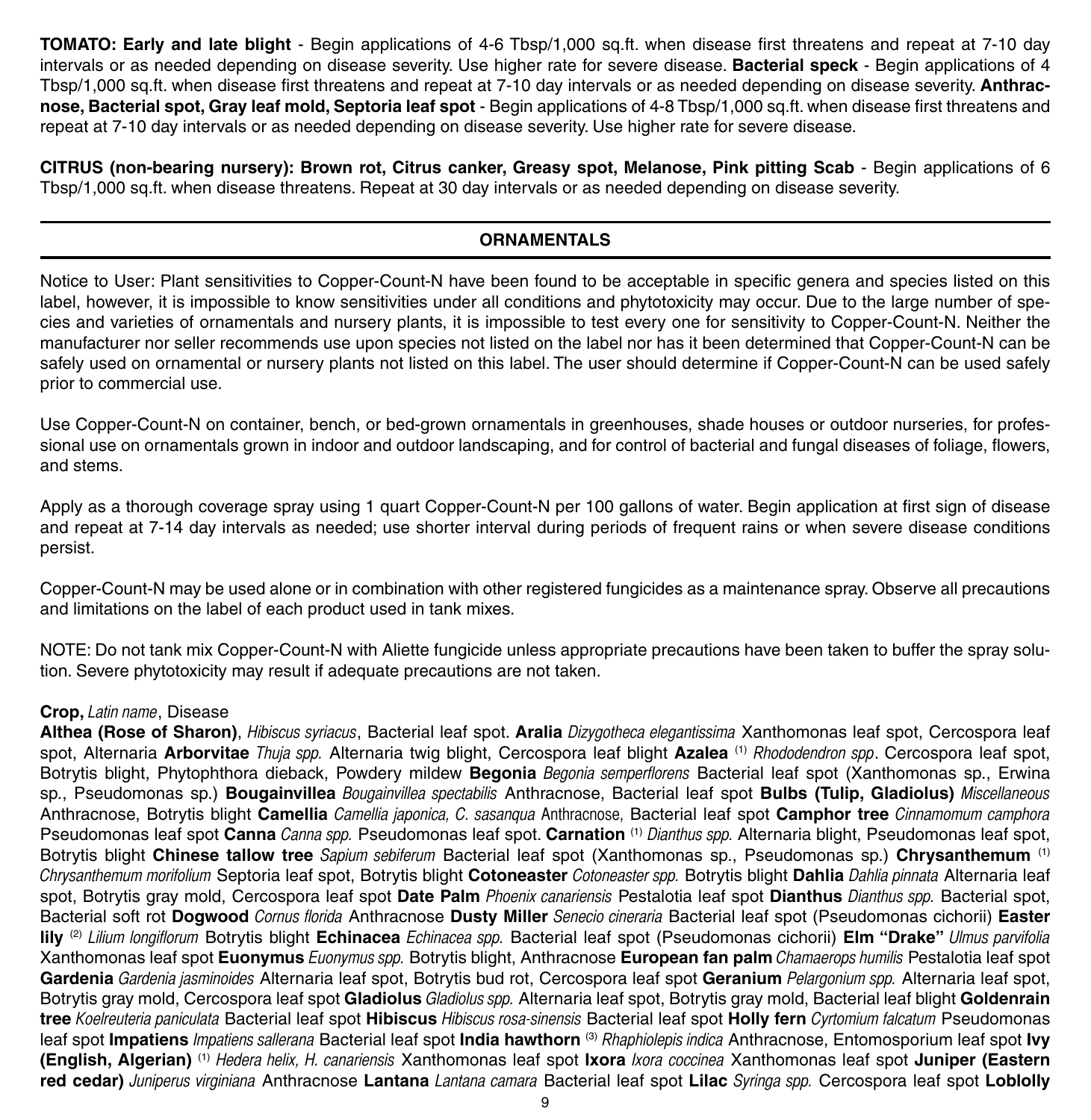**TOMATO: Early and late blight** - Begin applications of 4-6 Tbsp/1,000 sq.ft. when disease first threatens and repeat at 7-10 day intervals or as needed depending on disease severity. Use higher rate for severe disease. **Bacterial speck** - Begin applications of 4 Tbsp/1,000 sq.ft. when disease first threatens and repeat at 7-10 day intervals or as needed depending on disease severity. **Anthracnose, Bacterial spot, Gray leaf mold, Septoria leaf spot** - Begin applications of 4-8 Tbsp/1,000 sq.ft. when disease first threatens and repeat at 7-10 day intervals or as needed depending on disease severity. Use higher rate for severe disease.

**CITRUS (non-bearing nursery): Brown rot, Citrus canker, Greasy spot, Melanose, Pink pitting Scab** - Begin applications of 6 Tbsp/1,000 sq.ft. when disease threatens. Repeat at 30 day intervals or as needed depending on disease severity.

#### **ORNAMENTALS**

Notice to User: Plant sensitivities to Copper-Count-N have been found to be acceptable in specific genera and species listed on this label, however, it is impossible to know sensitivities under all conditions and phytotoxicity may occur. Due to the large number of species and varieties of ornamentals and nursery plants, it is impossible to test every one for sensitivity to Copper-Count-N. Neither the manufacturer nor seller recommends use upon species not listed on the label nor has it been determined that Copper-Count-N can be safely used on ornamental or nursery plants not listed on this label. The user should determine if Copper-Count-N can be used safely prior to commercial use.

Use Copper-Count-N on container, bench, or bed-grown ornamentals in greenhouses, shade houses or outdoor nurseries, for professional use on ornamentals grown in indoor and outdoor landscaping, and for control of bacterial and fungal diseases of foliage, flowers, and stems.

Apply as a thorough coverage spray using 1 quart Copper-Count-N per 100 gallons of water. Begin application at first sign of disease and repeat at 7-14 day intervals as needed; use shorter interval during periods of frequent rains or when severe disease conditions persist.

Copper-Count-N may be used alone or in combination with other registered fungicides as a maintenance spray. Observe all precautions and limitations on the label of each product used in tank mixes.

NOTE: Do not tank mix Copper-Count-N with Aliette fungicide unless appropriate precautions have been taken to buffer the spray solution. Severe phytotoxicity may result if adequate precautions are not taken.

#### **Crop,** Latin name, Disease

**Althea (Rose of Sharon)**, Hibiscus syriacus, Bacterial leaf spot. **Aralia** Dizygotheca elegantissima Xanthomonas leaf spot, Cercospora leaf spot, Alternaria **Arborvitae** Thuja spp. Alternaria twig blight, Cercospora leaf blight **Azalea** (1) Rhododendron spp. Cercospora leaf spot, Botrytis blight, Phytophthora dieback, Powdery mildew **Begonia** Begonia semperflorens Bacterial leaf spot (Xanthomonas sp., Erwina sp., Pseudomonas sp.) **Bougainvillea** Bougainvillea spectabilis Anthracnose, Bacterial leaf spot **Bulbs (Tulip, Gladiolus)** Miscellaneous Anthracnose, Botrytis blight **Camellia** Camellia japonica, C. sasanqua Anthracnose, Bacterial leaf spot **Camphor tree** Cinnamomum camphora Pseudomonas leaf spot **Canna** Canna spp. Pseudomonas leaf spot. **Carnation** (1) Dianthus spp. Alternaria blight, Pseudomonas leaf spot, Botrytis blight **Chinese tallow tree** Sapium sebiferum Bacterial leaf spot (Xanthomonas sp., Pseudomonas sp.) **Chrysanthemum** (1) Chrysanthemum morifolium Septoria leaf spot, Botrytis blight **Cotoneaster** Cotoneaster spp. Botrytis blight **Dahlia** Dahlia pinnata Alternaria leaf spot, Botrytis gray mold, Cercospora leaf spot **Date Palm** Phoenix canariensis Pestalotia leaf spot **Dianthus** Dianthus spp. Bacterial spot, Bacterial soft rot **Dogwood** Cornus florida Anthracnose **Dusty Miller** Senecio cineraria Bacterial leaf spot (Pseudomonas cichorii) **Easter lily** (2) Lilium longiflorum Botrytis blight **Echinacea** Echinacea spp. Bacterial leaf spot (Pseudomonas cichorii) **Elm "Drake"** Ulmus parvifolia Xanthomonas leaf spot **Euonymus** Euonymus spp. Botrytis blight, Anthracnose **European fan palm** Chamaerops humilis Pestalotia leaf spot **Gardenia** Gardenia jasminoides Alternaria leaf spot, Botrytis bud rot, Cercospora leaf spot **Geranium** Pelargonium spp. Alternaria leaf spot, Botrytis gray mold, Cercospora leaf spot **Gladiolus** Gladiolus spp. Alternaria leaf spot, Botrytis gray mold, Bacterial leaf blight **Goldenrain tree** Koelreuteria paniculata Bacterial leaf spot **Hibiscus** Hibiscus rosa-sinensis Bacterial leaf spot **Holly fern** Cyrtomium falcatum Pseudomonas leaf spot **Impatiens** Impatiens sallerana Bacterial leaf spot **India hawthorn** (3) Rhaphiolepis indica Anthracnose, Entomosporium leaf spot **Ivy (English, Algerian)** (1) Hedera helix, H. canariensis Xanthomonas leaf spot **Ixora** Ixora coccinea Xanthomonas leaf spot **Juniper (Eastern red cedar)** Juniperus virginiana Anthracnose **Lantana** Lantana camara Bacterial leaf spot **Lilac** Syringa spp. Cercospora leaf spot **Loblolly**